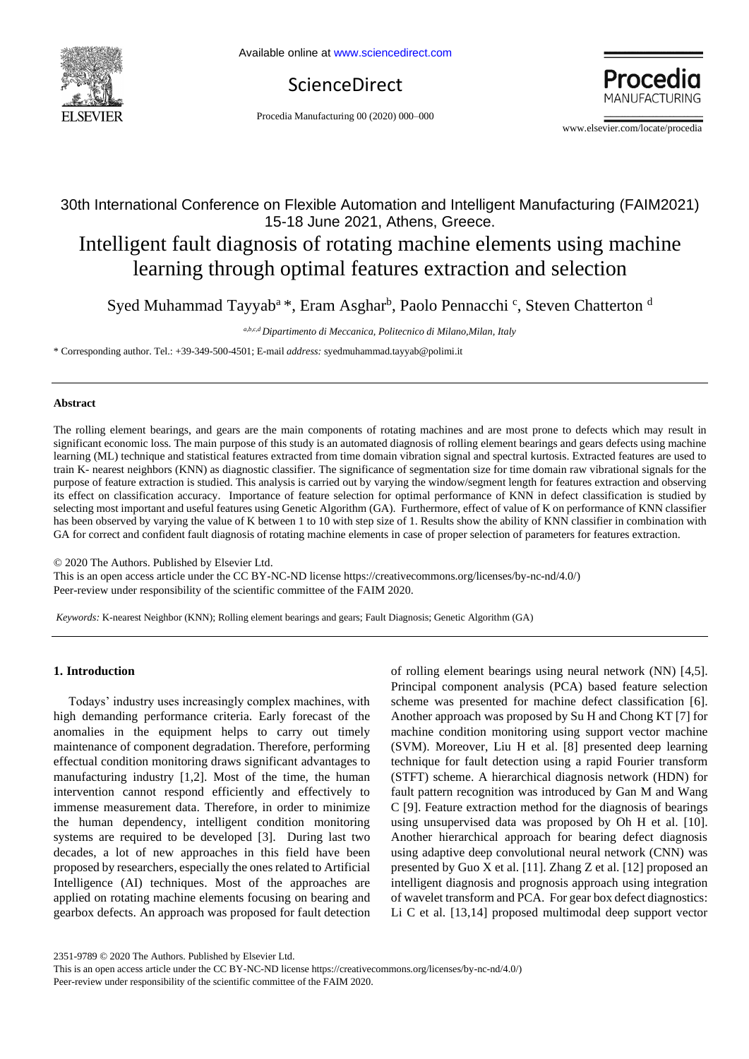

**ScienceDirect** 

Procedia Manufacturing 00 (2020) 000–000



www.elsevier.com/locate/procedia

# 30th International Conference on Flexible Automation and Intelligent Manufacturing (FAIM2021) 15-18 June 2021, Athens, Greece. Intelligent fault diagnosis of rotating machine elements using machine learning through optimal features extraction and selection

Syed Muhammad Tayyab<sup>a \*</sup>, Eram Asghar<sup>b</sup>, Paolo Pennacchi <sup>c</sup>, Steven Chatterton <sup>d</sup>

*a,b,c,d Dipartimento di Meccanica, Politecnico di Milano,Milan, Italy* 

\* Corresponding author. Tel.: +39-349-500-4501; E-mail *address:* syedmuhammad.tayyab@polimi.it

# **Abstract**

The rolling element bearings, and gears are the main components of rotating machines and are most prone to defects which may result in significant economic loss. The main purpose of this study is an automated diagnosis of rolling element bearings and gears defects using machine learning (ML) technique and statistical features extracted from time domain vibration signal and spectral kurtosis. Extracted features are used to train K- nearest neighbors (KNN) as diagnostic classifier. The significance of segmentation size for time domain raw vibrational signals for the purpose of feature extraction is studied. This analysis is carried out by varying the window/segment length for features extraction and observing its effect on classification accuracy. Importance of feature selection for optimal performance of KNN in defect classification is studied by selecting most important and useful features using Genetic Algorithm (GA). Furthermore, effect of value of K on performance of KNN classifier has been observed by varying the value of K between 1 to 10 with step size of 1. Results show the ability of KNN classifier in combination with GA for correct and confident fault diagnosis of rotating machine elements in case of proper selection of parameters for features extraction.

© 2020 The Authors. Published by Elsevier Ltd.

This is an open access article under the CC BY-NC-ND licens[e https://creativecommons.org/licenses/by-nc-nd/4.0/\)](https://creativecommons.org/licenses/by-nc-nd/4.0/) Peer-review under responsibility of the scientific committee of the FAIM 2020.

*Keywords:* K-nearest Neighbor (KNN); Rolling element bearings and gears; Fault Diagnosis; Genetic Algorithm (GA)

# **1. Introduction**

Todays' industry uses increasingly complex machines, with high demanding performance criteria. Early forecast of the anomalies in the equipment helps to carry out timely maintenance of component degradation. Therefore, performing effectual condition monitoring draws significant advantages to manufacturing industry [1,2]. Most of the time, the human intervention cannot respond efficiently and effectively to immense measurement data. Therefore, in order to minimize the human dependency, intelligent condition monitoring systems are required to be developed [3]. During last two decades, a lot of new approaches in this field have been proposed by researchers, especially the ones related to Artificial Intelligence (AI) techniques. Most of the approaches are applied on rotating machine elements focusing on bearing and gearbox defects. An approach was proposed for fault detection

of rolling element bearings using neural network (NN) [4,5]. Principal component analysis (PCA) based feature selection scheme was presented for machine defect classification [6]. Another approach was proposed by Su H and Chong KT [7] for machine condition monitoring using support vector machine (SVM). Moreover, Liu H et al. [8] presented deep learning technique for fault detection using a rapid Fourier transform (STFT) scheme. A hierarchical diagnosis network (HDN) for fault pattern recognition was introduced by Gan M and Wang C [9]. Feature extraction method for the diagnosis of bearings using unsupervised data was proposed by Oh H et al. [10]. Another hierarchical approach for bearing defect diagnosis using adaptive deep convolutional neural network (CNN) was presented by Guo X et al. [11]. Zhang Z et al. [12] proposed an intelligent diagnosis and prognosis approach using integration of wavelet transform and PCA. For gear box defect diagnostics: Li C et al. [13,14] proposed multimodal deep support vector

<sup>2351-9789</sup> © 2020 The Authors. Published by Elsevier Ltd.

This is an open access article under the CC BY-NC-ND licens[e https://creativecommons.org/licenses/by-nc-nd/4.0/\)](https://creativecommons.org/licenses/by-nc-nd/4.0/) Peer-review under responsibility of the scientific committee of the FAIM 2020.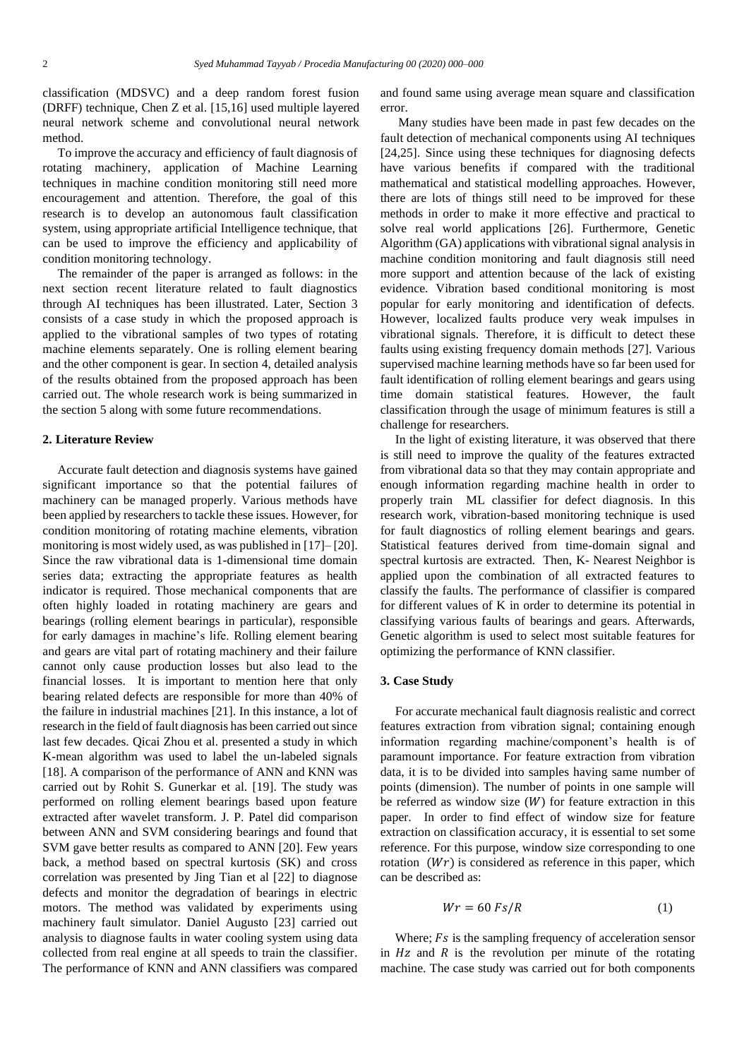classification (MDSVC) and a deep random forest fusion (DRFF) technique, Chen Z et al. [15,16] used multiple layered neural network scheme and convolutional neural network method.

To improve the accuracy and efficiency of fault diagnosis of rotating machinery, application of Machine Learning techniques in machine condition monitoring still need more encouragement and attention. Therefore, the goal of this research is to develop an autonomous fault classification system, using appropriate artificial Intelligence technique, that can be used to improve the efficiency and applicability of condition monitoring technology.

The remainder of the paper is arranged as follows: in the next section recent literature related to fault diagnostics through AI techniques has been illustrated. Later, Section 3 consists of a case study in which the proposed approach is applied to the vibrational samples of two types of rotating machine elements separately. One is rolling element bearing and the other component is gear. In section 4, detailed analysis of the results obtained from the proposed approach has been carried out. The whole research work is being summarized in the section 5 along with some future recommendations.

### **2. Literature Review**

Accurate fault detection and diagnosis systems have gained significant importance so that the potential failures of machinery can be managed properly. Various methods have been applied by researchers to tackle these issues. However, for condition monitoring of rotating machine elements, vibration monitoring is most widely used, as was published in [17]– [20]. Since the raw vibrational data is 1-dimensional time domain series data; extracting the appropriate features as health indicator is required. Those mechanical components that are often highly loaded in rotating machinery are gears and bearings (rolling element bearings in particular), responsible for early damages in machine's life. Rolling element bearing and gears are vital part of rotating machinery and their failure cannot only cause production losses but also lead to the financial losses. It is important to mention here that only bearing related defects are responsible for more than 40% of the failure in industrial machines [21]. In this instance, a lot of research in the field of fault diagnosis has been carried out since last few decades. Qicai Zhou et al. presented a study in which K-mean algorithm was used to label the un-labeled signals [18]. A comparison of the performance of ANN and KNN was carried out by Rohit S. Gunerkar et al. [19]. The study was performed on rolling element bearings based upon feature extracted after wavelet transform. J. P. Patel did comparison between ANN and SVM considering bearings and found that SVM gave better results as compared to ANN [20]. Few years back, a method based on spectral kurtosis (SK) and cross correlation was presented by Jing Tian et al [22] to diagnose defects and monitor the degradation of bearings in electric motors. The method was validated by experiments using machinery fault simulator. Daniel Augusto [23] carried out analysis to diagnose faults in water cooling system using data collected from real engine at all speeds to train the classifier. The performance of KNN and ANN classifiers was compared and found same using average mean square and classification error.

Many studies have been made in past few decades on the fault detection of mechanical components using AI techniques [24,25]. Since using these techniques for diagnosing defects have various benefits if compared with the traditional mathematical and statistical modelling approaches. However, there are lots of things still need to be improved for these methods in order to make it more effective and practical to solve real world applications [26]. Furthermore, Genetic Algorithm (GA) applications with vibrational signal analysis in machine condition monitoring and fault diagnosis still need more support and attention because of the lack of existing evidence. Vibration based conditional monitoring is most popular for early monitoring and identification of defects. However, localized faults produce very weak impulses in vibrational signals. Therefore, it is difficult to detect these faults using existing frequency domain methods [27]. Various supervised machine learning methods have so far been used for fault identification of rolling element bearings and gears using time domain statistical features. However, the fault classification through the usage of minimum features is still a challenge for researchers.

In the light of existing literature, it was observed that there is still need to improve the quality of the features extracted from vibrational data so that they may contain appropriate and enough information regarding machine health in order to properly train ML classifier for defect diagnosis. In this research work, vibration-based monitoring technique is used for fault diagnostics of rolling element bearings and gears. Statistical features derived from time-domain signal and spectral kurtosis are extracted. Then, K- Nearest Neighbor is applied upon the combination of all extracted features to classify the faults. The performance of classifier is compared for different values of K in order to determine its potential in classifying various faults of bearings and gears. Afterwards, Genetic algorithm is used to select most suitable features for optimizing the performance of KNN classifier.

#### **3. Case Study**

For accurate mechanical fault diagnosis realistic and correct features extraction from vibration signal; containing enough information regarding machine/component's health is of paramount importance. For feature extraction from vibration data, it is to be divided into samples having same number of points (dimension). The number of points in one sample will be referred as window size  $(W)$  for feature extraction in this paper. In order to find effect of window size for feature extraction on classification accuracy, it is essential to set some reference. For this purpose, window size corresponding to one rotation  $(Wr)$  is considered as reference in this paper, which can be described as:

$$
Wr = 60 \, Fs/R \tag{1}
$$

Where;  $Fs$  is the sampling frequency of acceleration sensor in  $Hz$  and  $R$  is the revolution per minute of the rotating machine. The case study was carried out for both components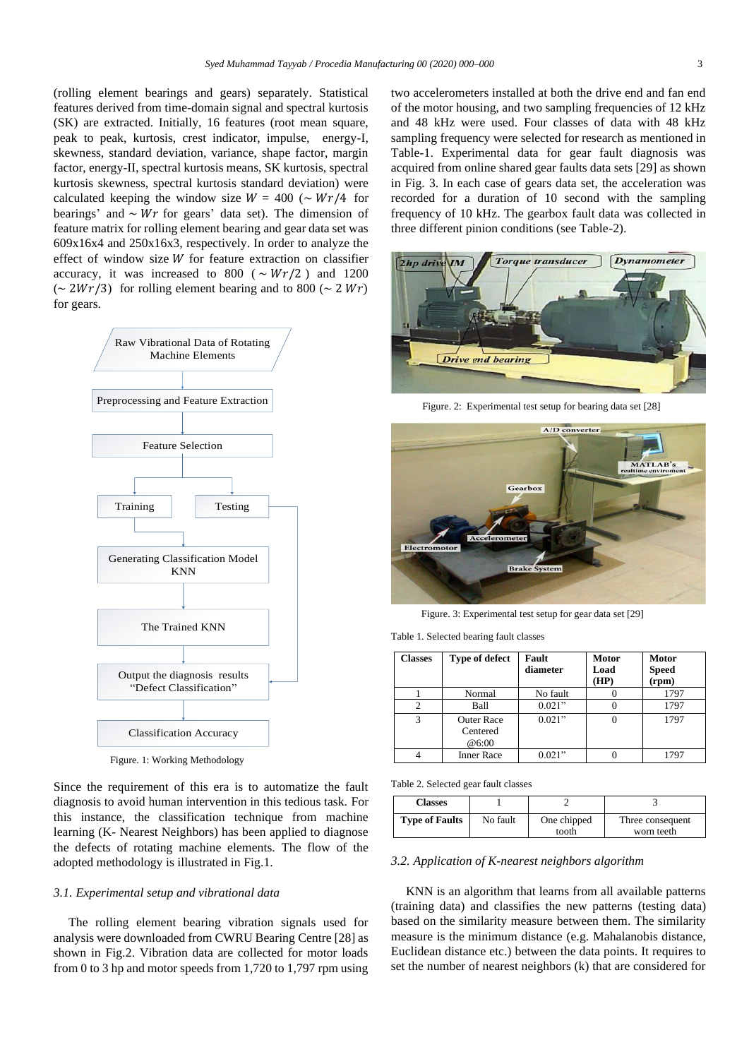(rolling element bearings and gears) separately. Statistical features derived from time-domain signal and spectral kurtosis (SK) are extracted. Initially, 16 features (root mean square, peak to peak, kurtosis, crest indicator, impulse, energy-I, skewness, standard deviation, variance, shape factor, margin factor, energy-II, spectral kurtosis means, SK kurtosis, spectral kurtosis skewness, spectral kurtosis standard deviation) were calculated keeping the window size  $W = 400 \, (-Wr/4)$  for bearings' and  $\sim Wr$  for gears' data set). The dimension of feature matrix for rolling element bearing and gear data set was 609x16x4 and 250x16x3, respectively. In order to analyze the effect of window size  $W$  for feature extraction on classifier accuracy, it was increased to 800 ( $\sim Wr/2$ ) and 1200 ( $\sim$  2Wr/3) for rolling element bearing and to 800 ( $\sim$  2Wr) for gears.



Figure. 1: Working Methodology

Since the requirement of this era is to automatize the fault diagnosis to avoid human intervention in this tedious task. For this instance, the classification technique from machine learning (K- Nearest Neighbors) has been applied to diagnose the defects of rotating machine elements. The flow of the adopted methodology is illustrated in Fig.1.

## *3.1. Experimental setup and vibrational data*

The rolling element bearing vibration signals used for analysis were downloaded from CWRU Bearing Centre [28] as shown in Fig.2. Vibration data are collected for motor loads from 0 to 3 hp and motor speeds from 1,720 to 1,797 rpm using two accelerometers installed at both the drive end and fan end of the motor housing, and two sampling frequencies of 12 kHz and 48 kHz were used. Four classes of data with 48 kHz sampling frequency were selected for research as mentioned in Table-1. Experimental data for gear fault diagnosis was acquired from online shared gear faults data sets [29] as shown in Fig. 3. In each case of gears data set, the acceleration was recorded for a duration of 10 second with the sampling frequency of 10 kHz. The gearbox fault data was collected in three different pinion conditions (see Table-2).



Figure. 2: Experimental test setup for bearing data set [28]



Figure. 3: Experimental test setup for gear data set [29]

|  |  | Table 1. Selected bearing fault classes |  |  |  |
|--|--|-----------------------------------------|--|--|--|
|--|--|-----------------------------------------|--|--|--|

| <b>Classes</b> | Type of defect                         | Fault<br>diameter | <b>Motor</b><br>Load<br>(HP) | <b>Motor</b><br><b>Speed</b><br>(rpm) |
|----------------|----------------------------------------|-------------------|------------------------------|---------------------------------------|
|                | Normal                                 | No fault          |                              | 1797                                  |
| 2              | Ball                                   | 0.021"            |                              | 1797                                  |
| 3              | <b>Outer Race</b><br>Centered<br>@6:00 | 0.021"            |                              | 1797                                  |
|                | <b>Inner Race</b>                      | 0.021"            |                              | 1797                                  |

Table 2. Selected gear fault classes

| Classes               |          |                      |                                |
|-----------------------|----------|----------------------|--------------------------------|
| <b>Type of Faults</b> | No fault | One chipped<br>tooth | Three consequent<br>worn teeth |

## *3.2. Application of K-nearest neighbors algorithm*

KNN is an algorithm that learns from all available patterns (training data) and classifies the new patterns (testing data) based on the similarity measure between them. The similarity measure is the minimum distance (e.g. Mahalanobis distance, Euclidean distance etc.) between the data points. It requires to set the number of nearest neighbors (k) that are considered for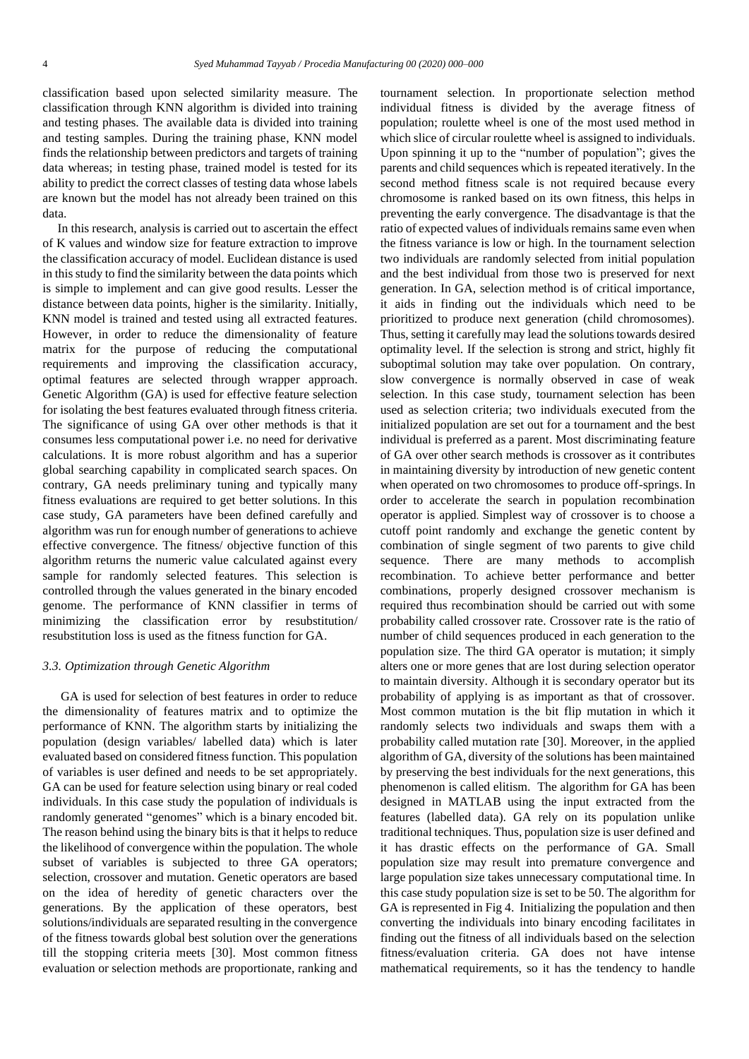classification based upon selected similarity measure. The classification through KNN algorithm is divided into training and testing phases. The available data is divided into training and testing samples. During the training phase, KNN model finds the relationship between predictors and targets of training data whereas; in testing phase, trained model is tested for its ability to predict the correct classes of testing data whose labels are known but the model has not already been trained on this data.

In this research, analysis is carried out to ascertain the effect of K values and window size for feature extraction to improve the classification accuracy of model. Euclidean distance is used in this study to find the similarity between the data points which is simple to implement and can give good results. Lesser the distance between data points, higher is the similarity. Initially, KNN model is trained and tested using all extracted features. However, in order to reduce the dimensionality of feature matrix for the purpose of reducing the computational requirements and improving the classification accuracy, optimal features are selected through wrapper approach. Genetic Algorithm (GA) is used for effective feature selection for isolating the best features evaluated through fitness criteria. The significance of using GA over other methods is that it consumes less computational power i.e. no need for derivative calculations. It is more robust algorithm and has a superior global searching capability in complicated search spaces. On contrary, GA needs preliminary tuning and typically many fitness evaluations are required to get better solutions. In this case study, GA parameters have been defined carefully and algorithm was run for enough number of generations to achieve effective convergence. The fitness/ objective function of this algorithm returns the numeric value calculated against every sample for randomly selected features. This selection is controlled through the values generated in the binary encoded genome. The performance of KNN classifier in terms of minimizing the classification error by resubstitution/ resubstitution loss is used as the fitness function for GA.

#### *3.3. Optimization through Genetic Algorithm*

GA is used for selection of best features in order to reduce the dimensionality of features matrix and to optimize the performance of KNN. The algorithm starts by initializing the population (design variables/ labelled data) which is later evaluated based on considered fitness function. This population of variables is user defined and needs to be set appropriately. GA can be used for feature selection using binary or real coded individuals. In this case study the population of individuals is randomly generated "genomes" which is a binary encoded bit. The reason behind using the binary bits is that it helps to reduce the likelihood of convergence within the population. The whole subset of variables is subjected to three GA operators; selection, crossover and mutation. Genetic operators are based on the idea of heredity of genetic characters over the generations. By the application of these operators, best solutions/individuals are separated resulting in the convergence of the fitness towards global best solution over the generations till the stopping criteria meets [30]. Most common fitness evaluation or selection methods are proportionate, ranking and tournament selection. In proportionate selection method individual fitness is divided by the average fitness of population; roulette wheel is one of the most used method in which slice of circular roulette wheel is assigned to individuals. Upon spinning it up to the "number of population"; gives the parents and child sequences which is repeated iteratively. In the second method fitness scale is not required because every chromosome is ranked based on its own fitness, this helps in preventing the early convergence. The disadvantage is that the ratio of expected values of individuals remains same even when the fitness variance is low or high. In the tournament selection two individuals are randomly selected from initial population and the best individual from those two is preserved for next generation. In GA, selection method is of critical importance, it aids in finding out the individuals which need to be prioritized to produce next generation (child chromosomes). Thus, setting it carefully may lead the solutions towards desired optimality level. If the selection is strong and strict, highly fit suboptimal solution may take over population. On contrary, slow convergence is normally observed in case of weak selection. In this case study, tournament selection has been used as selection criteria; two individuals executed from the initialized population are set out for a tournament and the best individual is preferred as a parent. Most discriminating feature of GA over other search methods is crossover as it contributes in maintaining diversity by introduction of new genetic content when operated on two chromosomes to produce off-springs. In order to accelerate the search in population recombination operator is applied. Simplest way of crossover is to choose a cutoff point randomly and exchange the genetic content by combination of single segment of two parents to give child sequence. There are many methods to accomplish recombination. To achieve better performance and better combinations, properly designed crossover mechanism is required thus recombination should be carried out with some probability called crossover rate. Crossover rate is the ratio of number of child sequences produced in each generation to the population size. The third GA operator is mutation; it simply alters one or more genes that are lost during selection operator to maintain diversity. Although it is secondary operator but its probability of applying is as important as that of crossover. Most common mutation is the bit flip mutation in which it randomly selects two individuals and swaps them with a probability called mutation rate [30]. Moreover, in the applied algorithm of GA, diversity of the solutions has been maintained by preserving the best individuals for the next generations, this phenomenon is called elitism. The algorithm for GA has been designed in MATLAB using the input extracted from the features (labelled data). GA rely on its population unlike traditional techniques. Thus, population size is user defined and it has drastic effects on the performance of GA. Small population size may result into premature convergence and large population size takes unnecessary computational time. In this case study population size is set to be 50. The algorithm for GA is represented in Fig 4. Initializing the population and then converting the individuals into binary encoding facilitates in finding out the fitness of all individuals based on the selection fitness/evaluation criteria. GA does not have intense mathematical requirements, so it has the tendency to handle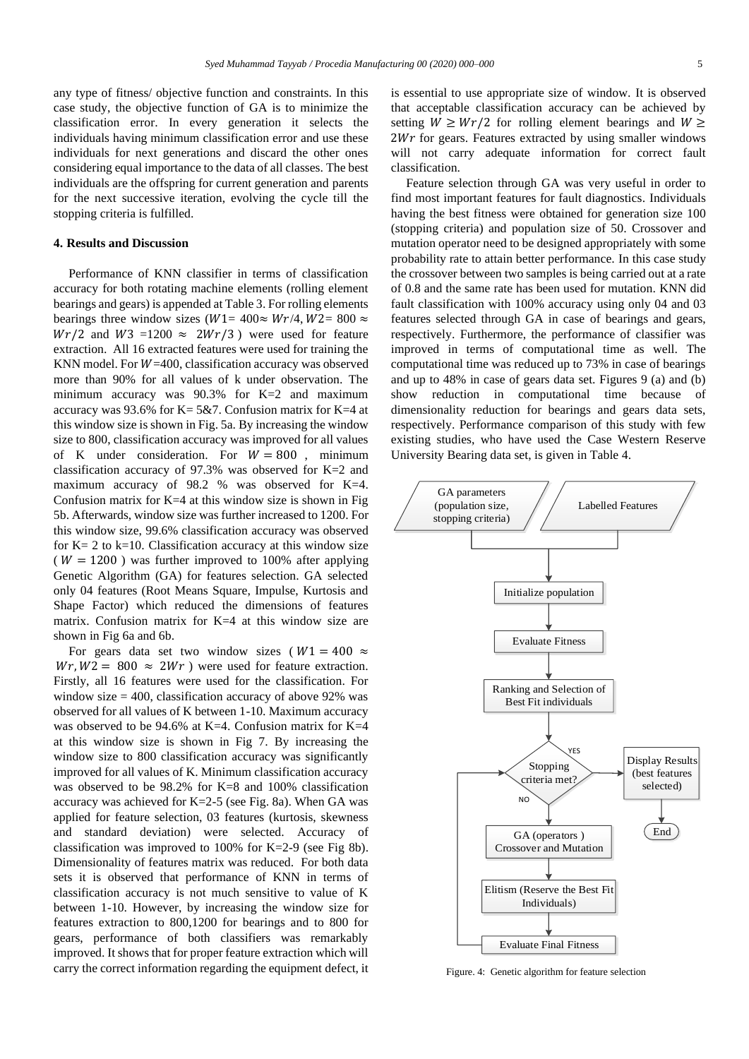any type of fitness/ objective function and constraints. In this case study, the objective function of GA is to minimize the classification error. In every generation it selects the individuals having minimum classification error and use these individuals for next generations and discard the other ones considering equal importance to the data of all classes. The best individuals are the offspring for current generation and parents for the next successive iteration, evolving the cycle till the stopping criteria is fulfilled.

## **4. Results and Discussion**

Performance of KNN classifier in terms of classification accuracy for both rotating machine elements (rolling element bearings and gears) is appended at Table 3. For rolling elements bearings three window sizes ( $W1 = 400 \approx Wr/4$ ,  $W2 = 800 \approx$  $Wr/2$  and  $W3 =1200 \approx 2Wr/3$ ) were used for feature extraction. All 16 extracted features were used for training the KNN model. For  $W=400$ , classification accuracy was observed more than 90% for all values of k under observation. The minimum accuracy was 90.3% for K=2 and maximum accuracy was 93.6% for K=  $5&7$ . Confusion matrix for K=4 at this window size is shown in Fig. 5a. By increasing the window size to 800, classification accuracy was improved for all values of K under consideration. For  $W = 800$ , minimum classification accuracy of 97.3% was observed for K=2 and maximum accuracy of 98.2 % was observed for K=4. Confusion matrix for  $K=4$  at this window size is shown in Fig. 5b. Afterwards, window size was further increased to 1200. For this window size, 99.6% classification accuracy was observed for  $K = 2$  to  $k=10$ . Classification accuracy at this window size ( $W = 1200$ ) was further improved to 100% after applying Genetic Algorithm (GA) for features selection. GA selected only 04 features (Root Means Square, Impulse, Kurtosis and Shape Factor) which reduced the dimensions of features matrix. Confusion matrix for K=4 at this window size are shown in Fig 6a and 6b.

For gears data set two window sizes ( $W1 = 400 \approx$  $Wr, W2 = 800 \approx 2Wr$  were used for feature extraction. Firstly, all 16 features were used for the classification. For window size  $= 400$ , classification accuracy of above 92% was observed for all values of K between 1-10. Maximum accuracy was observed to be 94.6% at K=4. Confusion matrix for K=4 at this window size is shown in Fig 7. By increasing the window size to 800 classification accuracy was significantly improved for all values of K. Minimum classification accuracy was observed to be 98.2% for K=8 and 100% classification accuracy was achieved for K=2-5 (see Fig. 8a). When GA was applied for feature selection, 03 features (kurtosis, skewness and standard deviation) were selected. Accuracy of classification was improved to 100% for K=2-9 (see Fig 8b). Dimensionality of features matrix was reduced. For both data sets it is observed that performance of KNN in terms of classification accuracy is not much sensitive to value of K between 1-10. However, by increasing the window size for features extraction to 800,1200 for bearings and to 800 for gears, performance of both classifiers was remarkably improved. It shows that for proper feature extraction which will carry the correct information regarding the equipment defect, it is essential to use appropriate size of window. It is observed that acceptable classification accuracy can be achieved by setting  $W \geq Wr/2$  for rolling element bearings and  $W \geq$  $2Wr$  for gears. Features extracted by using smaller windows will not carry adequate information for correct fault classification.

Feature selection through GA was very useful in order to find most important features for fault diagnostics. Individuals having the best fitness were obtained for generation size 100 (stopping criteria) and population size of 50. Crossover and mutation operator need to be designed appropriately with some probability rate to attain better performance. In this case study the crossover between two samples is being carried out at a rate of 0.8 and the same rate has been used for mutation. KNN did fault classification with 100% accuracy using only 04 and 03 features selected through GA in case of bearings and gears, respectively. Furthermore, the performance of classifier was improved in terms of computational time as well. The computational time was reduced up to 73% in case of bearings and up to 48% in case of gears data set. Figures 9 (a) and (b) show reduction in computational time because of dimensionality reduction for bearings and gears data sets, respectively. Performance comparison of this study with few existing studies, who have used the Case Western Reserve University Bearing data set, is given in Table 4.



Figure. 4: Genetic algorithm for feature selection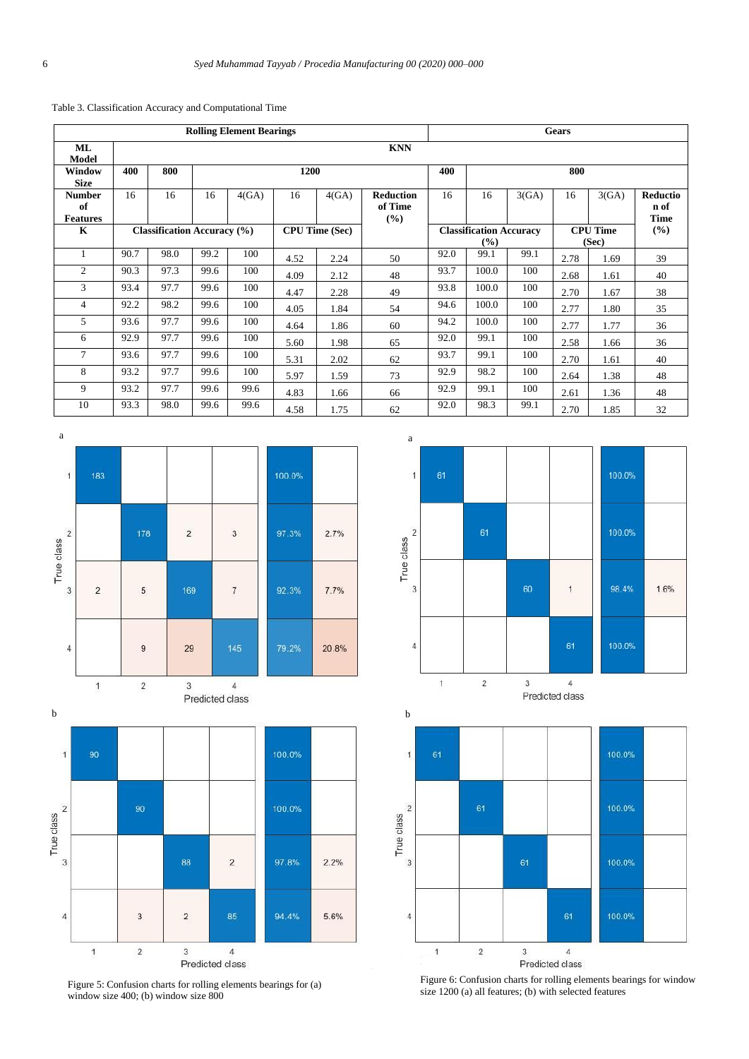Table 3. Classification Accuracy and Computational Time

| <b>Rolling Element Bearings</b>        |                                    |      |      |       |                       |       |                                    | <b>Gears</b>                                    |       |                          |      |       |                                 |
|----------------------------------------|------------------------------------|------|------|-------|-----------------------|-------|------------------------------------|-------------------------------------------------|-------|--------------------------|------|-------|---------------------------------|
| ML<br><b>Model</b>                     | <b>KNN</b>                         |      |      |       |                       |       |                                    |                                                 |       |                          |      |       |                                 |
| Window<br><b>Size</b>                  | 400                                | 800  |      | 1200  |                       |       |                                    | 400                                             | 800   |                          |      |       |                                 |
| <b>Number</b><br>of<br><b>Features</b> | 16                                 | 16   | 16   | 4(GA) | 16                    | 4(GA) | <b>Reduction</b><br>of Time<br>(%) | 16                                              | 16    | 3(GA)                    | 16   | 3(GA) | Reductio<br>n of<br><b>Time</b> |
| K                                      | <b>Classification Accuracy (%)</b> |      |      |       | <b>CPU Time (Sec)</b> |       |                                    | <b>Classification Accuracy</b><br>$\frac{9}{6}$ |       | <b>CPU Time</b><br>(Sec) |      | (%)   |                                 |
|                                        | 90.7                               | 98.0 | 99.2 | 100   | 4.52                  | 2.24  | 50                                 | 92.0                                            | 99.1  | 99.1                     | 2.78 | 1.69  | 39                              |
| $\overline{2}$                         | 90.3                               | 97.3 | 99.6 | 100   | 4.09                  | 2.12  | 48                                 | 93.7                                            | 100.0 | 100                      | 2.68 | 1.61  | 40                              |
| 3                                      | 93.4                               | 97.7 | 99.6 | 100   | 4.47                  | 2.28  | 49                                 | 93.8                                            | 100.0 | 100                      | 2.70 | 1.67  | 38                              |
| 4                                      | 92.2                               | 98.2 | 99.6 | 100   | 4.05                  | 1.84  | 54                                 | 94.6                                            | 100.0 | 100                      | 2.77 | 1.80  | 35                              |
| 5                                      | 93.6                               | 97.7 | 99.6 | 100   | 4.64                  | 1.86  | 60                                 | 94.2                                            | 100.0 | 100                      | 2.77 | 1.77  | 36                              |
| 6                                      | 92.9                               | 97.7 | 99.6 | 100   | 5.60                  | 1.98  | 65                                 | 92.0                                            | 99.1  | 100                      | 2.58 | 1.66  | 36                              |
| 7                                      | 93.6                               | 97.7 | 99.6 | 100   | 5.31                  | 2.02  | 62                                 | 93.7                                            | 99.1  | 100                      | 2.70 | 1.61  | 40                              |
| 8                                      | 93.2                               | 97.7 | 99.6 | 100   | 5.97                  | 1.59  | 73                                 | 92.9                                            | 98.2  | 100                      | 2.64 | 1.38  | 48                              |
| 9                                      | 93.2                               | 97.7 | 99.6 | 99.6  | 4.83                  | 1.66  | 66                                 | 92.9                                            | 99.1  | 100                      | 2.61 | 1.36  | 48                              |
| 10                                     | 93.3                               | 98.0 | 99.6 | 99.6  | 4.58                  | 1.75  | 62                                 | 92.0                                            | 98.3  | 99.1                     | 2.70 | 1.85  | 32                              |





Figure 5: Confusion charts for rolling elements bearings for (a) window size 400; (b) window size 800





Figure 6: Confusion charts for rolling elements bearings for window size 1200 (a) all features; (b) with selected features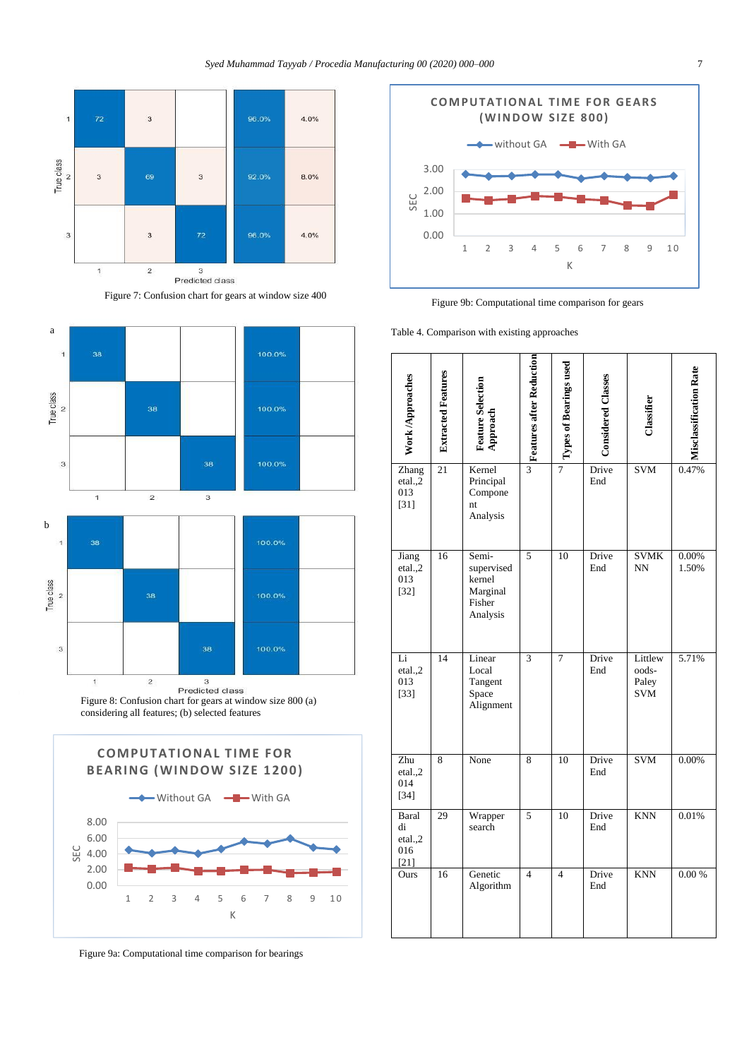

Figure 7: Confusion chart for gears at window size 400









Figure 9a: Computational time comparison for bearings



Figure 9b: Computational time comparison for gears

Table 4. Comparison with existing approaches

| Work/Approaches                                | <b>Extracted Features</b> | <b>Feature Selection</b><br>Approach                            | $\omega$ Features after Reduction | <b>Types of Bearings used</b> | <b>Considered Classes</b> | Classifier                              | <b>Misclassification Rate</b> |
|------------------------------------------------|---------------------------|-----------------------------------------------------------------|-----------------------------------|-------------------------------|---------------------------|-----------------------------------------|-------------------------------|
| Zhang<br>etal.,2<br>013<br>$[31]$              | $\overline{21}$           | Kernel<br>Principal<br>Compone<br>nt<br>Analysis                |                                   | $\overline{7}$                | Drive<br>End              | <b>SVM</b>                              | 0.47%                         |
| Jiang<br>etal.,2<br>013<br>$[32]$              | 16                        | Semi-<br>supervised<br>kernel<br>Marginal<br>Fisher<br>Analysis | 5                                 | $\overline{10}$               | Drive<br>End              | <b>SVMK</b><br>NN                       | 0.00%<br>1.50%                |
| Li<br>etal.,2<br>013<br>$[33]$                 | 14                        | Linear<br>Local<br>Tangent<br>Space<br>Alignment                | 3                                 | 7                             | Drive<br>End              | Littlew<br>oods-<br>Paley<br><b>SVM</b> | 5.71%                         |
| Zhu<br>etal.,2<br>014<br>$[34]$                | 8                         | None                                                            | 8                                 | 10                            | Drive<br>End              | <b>SVM</b>                              | 0.00%                         |
| <b>Baral</b><br>di<br>etal.,2<br>016<br>$[21]$ | $\overline{29}$           | Wrapper<br>search                                               | 5                                 | 10                            | Drive<br>End              | <b>KNN</b>                              | 0.01%                         |
| Ours                                           | 16                        | Genetic<br>Algorithm                                            | 4                                 | $\overline{4}$                | Drive<br>End              | <b>KNN</b>                              | 0.00 %                        |